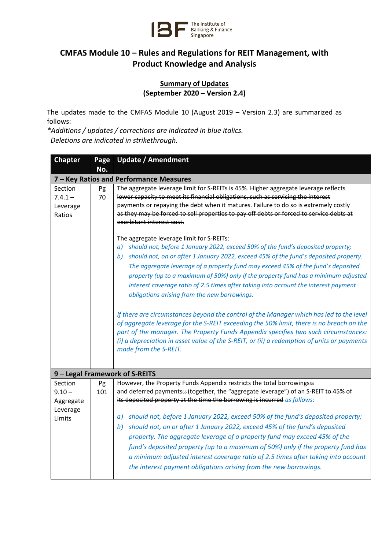

## **CMFAS Module 10 – Rules and Regulations for REIT Management, with Product Knowledge and Analysis**

## **Summary of Updates (September 2020 – Version 2.4)**

The updates made to the CMFAS Module 10 (August 2019 – Version 2.3) are summarized as follows:

*\*Additions / updates / corrections are indicated in blue italics. Deletions are indicated in strikethrough.*

| <b>Chapter</b>                          | Page | <b>Update / Amendment</b>                                                                  |  |  |
|-----------------------------------------|------|--------------------------------------------------------------------------------------------|--|--|
|                                         | No.  |                                                                                            |  |  |
| 7 – Key Ratios and Performance Measures |      |                                                                                            |  |  |
| Section                                 | Pg   | The aggregate leverage limit for S-REITs is 45%. Higher aggregate leverage reflects        |  |  |
| $7.4.1 -$                               | 70   | lower capacity to meet its financial obligations, such as servicing the interest           |  |  |
| Leverage                                |      | payments or repaying the debt when it matures. Failure to do so is extremely costly        |  |  |
| Ratios                                  |      | as they may be forced to sell properties to pay off debts or forced to service debts at    |  |  |
|                                         |      | exorbitant interest cost.                                                                  |  |  |
|                                         |      | The aggregate leverage limit for S-REITs:                                                  |  |  |
|                                         |      | should not, before 1 January 2022, exceed 50% of the fund's deposited property;<br>a)      |  |  |
|                                         |      | should not, on or after 1 January 2022, exceed 45% of the fund's deposited property.<br>b) |  |  |
|                                         |      | The aggregate leverage of a property fund may exceed 45% of the fund's deposited           |  |  |
|                                         |      | property (up to a maximum of 50%) only if the property fund has a minimum adjusted         |  |  |
|                                         |      | interest coverage ratio of 2.5 times after taking into account the interest payment        |  |  |
|                                         |      | obligations arising from the new borrowings.                                               |  |  |
|                                         |      |                                                                                            |  |  |
|                                         |      | If there are circumstances beyond the control of the Manager which has led to the level    |  |  |
|                                         |      | of aggregate leverage for the S-REIT exceeding the 50% limit, there is no breach on the    |  |  |
|                                         |      | part of the manager. The Property Funds Appendix specifies two such circumstances:         |  |  |
|                                         |      | (i) a depreciation in asset value of the S-REIT, or (ii) a redemption of units or payments |  |  |
|                                         |      | made from the S-REIT.                                                                      |  |  |
|                                         |      |                                                                                            |  |  |
| 9 - Legal Framework of S-REITS          |      |                                                                                            |  |  |
| Section                                 | Pg   | However, the Property Funds Appendix restricts the total borrowings64                      |  |  |
| $9.10 -$                                | 101  | and deferred payments65 (together, the "aggregate leverage") of an S-REIT to 45% of        |  |  |
| Aggregate                               |      | its deposited property at the time the borrowing is incurred as follows:                   |  |  |
| Leverage                                |      |                                                                                            |  |  |
| Limits                                  |      | should not, before 1 January 2022, exceed 50% of the fund's deposited property;<br>a)      |  |  |
|                                         |      | should not, on or after 1 January 2022, exceed 45% of the fund's deposited<br><i>b</i> )   |  |  |
|                                         |      | property. The aggregate leverage of a property fund may exceed 45% of the                  |  |  |
|                                         |      | fund's deposited property (up to a maximum of 50%) only if the property fund has           |  |  |
|                                         |      | a minimum adjusted interest coverage ratio of 2.5 times after taking into account          |  |  |
|                                         |      | the interest payment obligations arising from the new borrowings.                          |  |  |
|                                         |      |                                                                                            |  |  |